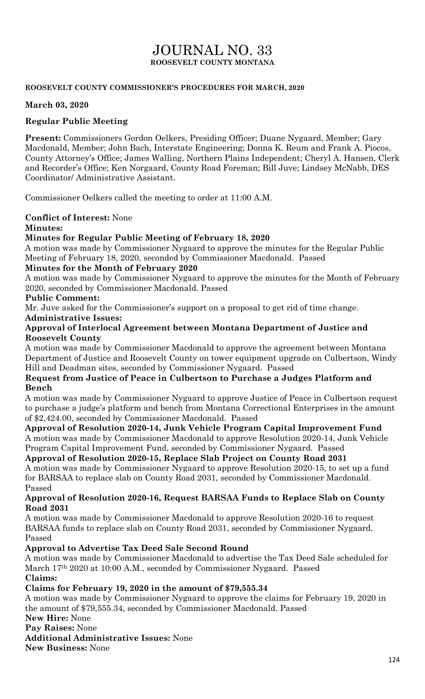# JOURNAL NO. 33 **ROOSEVELT COUNTY MONTANA**

#### **ROOSEVELT COUNTY COMMISSIONER'S PROCEDURES FOR MARCH, 2020**

#### **March 03, 2020**

## **Regular Public Meeting**

**Present:** Commissioners Gordon Oelkers, Presiding Officer; Duane Nygaard, Member; Gary Macdonald, Member; John Bach, Interstate Engineering; Donna K. Reum and Frank A. Piocos, County Attorney's Office; James Walling, Northern Plains Independent; Cheryl A. Hansen, Clerk and Recorder's Office; Ken Norgaard, County Road Foreman; Bill Juve; Lindsey McNabb, DES Coordinator/ Administrative Assistant.

Commissioner Oelkers called the meeting to order at 11:00 A.M.

#### **Conflict of Interest:** None

#### **Minutes:**

## **Minutes for Regular Public Meeting of February 18, 2020**

A motion was made by Commissioner Nygaard to approve the minutes for the Regular Public Meeting of February 18, 2020, seconded by Commissioner Macdonald. Passed

#### **Minutes for the Month of February 2020**

A motion was made by Commissioner Nygaard to approve the minutes for the Month of February 2020, seconded by Commissioner Macdonald. Passed

#### **Public Comment:**

Mr. Juve asked for the Commissioner's support on a proposal to get rid of time change.

## **Administrative Issues:**

#### **Approval of Interlocal Agreement between Montana Department of Justice and Roosevelt County**

A motion was made by Commissioner Macdonald to approve the agreement between Montana Department of Justice and Roosevelt County on tower equipment upgrade on Culbertson, Windy Hill and Deadman sites, seconded by Commissioner Nygaard. Passed

## **Request from Justice of Peace in Culbertson to Purchase a Judges Platform and Bench**

A motion was made by Commissioner Nygaard to approve Justice of Peace in Culbertson request to purchase a judge's platform and bench from Montana Correctional Enterprises in the amount of \$2,424.00, seconded by Commissioner Macdonald. Passed

## **Approval of Resolution 2020-14, Junk Vehicle Program Capital Improvement Fund**

A motion was made by Commissioner Macdonald to approve Resolution 2020-14, Junk Vehicle Program Capital Improvement Fund, seconded by Commissioner Nygaard. Passed

## **Approval of Resolution 2020-15, Replace Slab Project on County Road 2031**

A motion was made by Commissioner Nygaard to approve Resolution 2020-15, to set up a fund for BARSAA to replace slab on County Road 2031, seconded by Commissioner Macdonald. Passed

## **Approval of Resolution 2020-16, Request BARSAA Funds to Replace Slab on County Road 2031**

A motion was made by Commissioner Macdonald to approve Resolution 2020-16 to request BARSAA funds to replace slab on County Road 2031, seconded by Commissioner Nygaard. Passed

## **Approval to Advertise Tax Deed Sale Second Round**

A motion was made by Commissioner Macdonald to advertise the Tax Deed Sale scheduled for March 17th 2020 at 10:00 A.M., seconded by Commissioner Nygaard. Passed **Claims:**

## **Claims for February 19, 2020 in the amount of \$79,555.34**

A motion was made by Commissioner Nygaard to approve the claims for February 19, 2020 in the amount of \$79,555.34, seconded by Commissioner Macdonald. Passed

## **New Hire:** None

**Pay Raises:** None

**Additional Administrative Issues:** None

**New Business:** None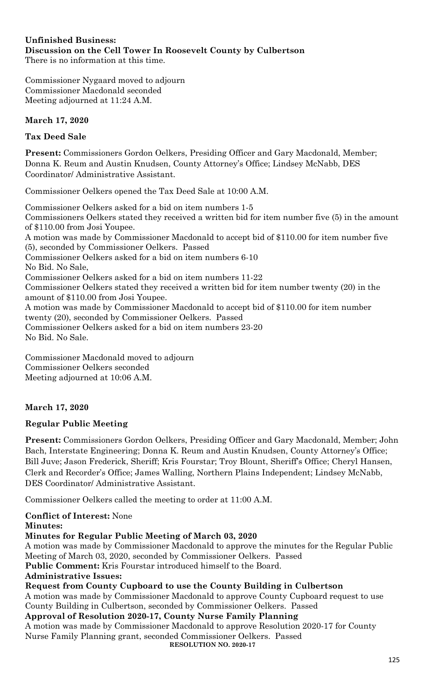#### **Unfinished Business: Discussion on the Cell Tower In Roosevelt County by Culbertson**  There is no information at this time.

Commissioner Nygaard moved to adjourn Commissioner Macdonald seconded Meeting adjourned at 11:24 A.M.

# **March 17, 2020**

# **Tax Deed Sale**

**Present:** Commissioners Gordon Oelkers, Presiding Officer and Gary Macdonald, Member; Donna K. Reum and Austin Knudsen, County Attorney's Office; Lindsey McNabb, DES Coordinator/ Administrative Assistant.

Commissioner Oelkers opened the Tax Deed Sale at 10:00 A.M.

Commissioner Oelkers asked for a bid on item numbers 1-5 Commissioners Oelkers stated they received a written bid for item number five (5) in the amount of \$110.00 from Josi Youpee. A motion was made by Commissioner Macdonald to accept bid of \$110.00 for item number five (5), seconded by Commissioner Oelkers. Passed Commissioner Oelkers asked for a bid on item numbers 6-10 No Bid. No Sale, Commissioner Oelkers asked for a bid on item numbers 11-22 Commissioner Oelkers stated they received a written bid for item number twenty (20) in the amount of \$110.00 from Josi Youpee. A motion was made by Commissioner Macdonald to accept bid of \$110.00 for item number twenty (20), seconded by Commissioner Oelkers. Passed Commissioner Oelkers asked for a bid on item numbers 23-20 No Bid. No Sale.

Commissioner Macdonald moved to adjourn Commissioner Oelkers seconded Meeting adjourned at 10:06 A.M.

# **March 17, 2020**

## **Regular Public Meeting**

**Present:** Commissioners Gordon Oelkers, Presiding Officer and Gary Macdonald, Member; John Bach, Interstate Engineering; Donna K. Reum and Austin Knudsen, County Attorney's Office; Bill Juve; Jason Frederick, Sheriff; Kris Fourstar; Troy Blount, Sheriff's Office; Cheryl Hansen, Clerk and Recorder's Office; James Walling, Northern Plains Independent; Lindsey McNabb, DES Coordinator/ Administrative Assistant.

Commissioner Oelkers called the meeting to order at 11:00 A.M.

**Conflict of Interest:** None

## **Minutes:**

## **Minutes for Regular Public Meeting of March 03, 2020**

A motion was made by Commissioner Macdonald to approve the minutes for the Regular Public Meeting of March 03, 2020, seconded by Commissioner Oelkers. Passed

**Public Comment:** Kris Fourstar introduced himself to the Board.

## **Administrative Issues:**

## **Request from County Cupboard to use the County Building in Culbertson**

A motion was made by Commissioner Macdonald to approve County Cupboard request to use County Building in Culbertson, seconded by Commissioner Oelkers. Passed

**Approval of Resolution 2020-17, County Nurse Family Planning** 

A motion was made by Commissioner Macdonald to approve Resolution 2020-17 for County Nurse Family Planning grant, seconded Commissioner Oelkers. Passed **RESOLUTION NO. 2020-17**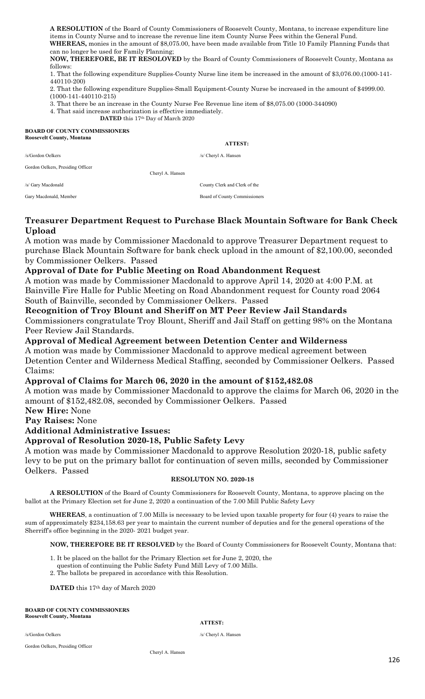**A RESOLUTION** of the Board of County Commissioners of Roosevelt County, Montana, to increase expenditure line items in County Nurse and to increase the revenue line item County Nurse Fees within the General Fund. **WHEREAS,** monies in the amount of \$8,075.00, have been made available from Title 10 Family Planning Funds that

can no longer be used for Family Planning; **NOW, THEREFORE, BE IT RESOLOVED** by the Board of County Commissioners of Roosevelt County, Montana as

follows: 1. That the following expenditure Supplies-County Nurse line item be increased in the amount of \$3,076.00.(1000-141-

440110-200) 2. That the following expenditure Supplies-Small Equipment-County Nurse be increased in the amount of \$4999.00.

(1000-141-440110-215)

3. That there be an increase in the County Nurse Fee Revenue line item of \$8,075.00 (1000-344090)

4. That said increase authorization is effective immediately.

**DATED** this 17th Day of March 2020

#### **BOARD OF COUNTY COMMISSIONERS Roosevelt County, Montana**

#### **ATTEST:**

/s/Gordon Oelkers /s/ Cheryl A. Hansen

Gordon Oelkers, Presiding Officer

/s/ Gary Macdonald County Clerk and Clerk of the

Gary Macdonald, Member **Board of County Commissioners** Board of County Commissioners

#### **Treasurer Department Request to Purchase Black Mountain Software for Bank Check Upload**

A motion was made by Commissioner Macdonald to approve Treasurer Department request to purchase Black Mountain Software for bank check upload in the amount of \$2,100.00, seconded by Commissioner Oelkers. Passed

#### **Approval of Date for Public Meeting on Road Abandonment Request**

Cheryl A. Hansen

A motion was made by Commissioner Macdonald to approve April 14, 2020 at 4:00 P.M. at Bainville Fire Halle for Public Meeting on Road Abandonment request for County road 2064 South of Bainville, seconded by Commissioner Oelkers. Passed

#### **Recognition of Troy Blount and Sheriff on MT Peer Review Jail Standards**

Commissioners congratulate Troy Blount, Sheriff and Jail Staff on getting 98% on the Montana Peer Review Jail Standards.

#### **Approval of Medical Agreement between Detention Center and Wilderness**

A motion was made by Commissioner Macdonald to approve medical agreement between Detention Center and Wilderness Medical Staffing, seconded by Commissioner Oelkers. Passed Claims:

#### **Approval of Claims for March 06, 2020 in the amount of \$152,482.08**

A motion was made by Commissioner Macdonald to approve the claims for March 06, 2020 in the amount of \$152,482.08, seconded by Commissioner Oelkers. Passed

**New Hire:** None

**Pay Raises:** None

## **Additional Administrative Issues:**

#### **Approval of Resolution 2020-18, Public Safety Levy**

A motion was made by Commissioner Macdonald to approve Resolution 2020-18, public safety levy to be put on the primary ballot for continuation of seven mills, seconded by Commissioner Oelkers. Passed

#### **RESOLUTON NO. 2020-18**

**A RESOLUTION** of the Board of County Commissioners for Roosevelt County, Montana, to approve placing on the ballot at the Primary Election set for June 2, 2020 a continuation of the 7.00 Mill Public Safety Levy

**WHEREAS**, a continuation of 7.00 Mills is necessary to be levied upon taxable property for four (4) years to raise the sum of approximately \$234,158.63 per year to maintain the current number of deputies and for the general operations of the Sherriff's office beginning in the 2020- 2021 budget year.

**NOW, THEREFORE BE IT RESOLVED** by the Board of County Commissioners for Roosevelt County, Montana that:

- 1. It be placed on the ballot for the Primary Election set for June 2, 2020, the
- question of continuing the Public Safety Fund Mill Levy of 7.00 Mills.
- 2. The ballots be prepared in accordance with this Resolution.

**DATED** this 17th day of March 2020

#### **BOARD OF COUNTY COMMISSIONERS Roosevelt County, Montana**

#### **ATTEST:**

/s/Gordon Oelkers /s/ Cheryl A. Hansen

Gordon Oelkers, Presiding Officer

Cheryl A. Hansen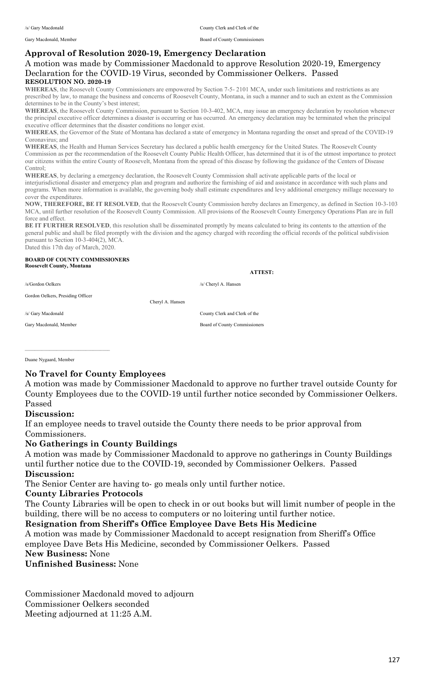Gary Macdonald, Member Board of County Commissioners

## **Approval of Resolution 2020-19, Emergency Declaration**

#### A motion was made by Commissioner Macdonald to approve Resolution 2020-19, Emergency Declaration for the COVID-19 Virus, seconded by Commissioner Oelkers. Passed **RESOLUTION NO. 2020-19**

**WHEREAS**, the Roosevelt County Commissioners are empowered by Section 7-5- 2101 MCA, under such limitations and restrictions as are prescribed by law, to manage the business and concerns of Roosevelt County, Montana, in such a manner and to such an extent as the Commission determines to be in the County's best interest;

**WHEREAS**, the Roosevelt County Commission, pursuant to Section 10-3-402, MCA, may issue an emergency declaration by resolution whenever the principal executive officer determines a disaster is occurring or has occurred. An emergency declaration may be terminated when the principal executive officer determines that the disaster conditions no longer exist.

**WHEREAS**, the Governor of the State of Montana has declared a state of emergency in Montana regarding the onset and spread of the COVID-19 Coronavirus; and

**WHEREAS**, the Health and Human Services Secretary has declared a public health emergency for the United States. The Roosevelt County Commission as per the recommendation of the Roosevelt County Public Health Officer, has determined that it is of the utmost importance to protect our citizens within the entire County of Roosevelt, Montana from the spread of this disease by following the guidance of the Centers of Disease Control;

**WHEREAS**, by declaring a emergency declaration, the Roosevelt County Commission shall activate applicable parts of the local or interjurisdictional disaster and emergency plan and program and authorize the furnishing of aid and assistance in accordance with such plans and programs. When more information is available, the governing body shall estimate expenditures and levy additional emergency millage necessary to cover the expenditures.

**NOW, THEREFORE, BE IT RESOLVED**, that the Roosevelt County Commission hereby declares an Emergency, as defined in Section 10-3-103 MCA, until further resolution of the Roosevelt County Commission. All provisions of the Roosevelt County Emergency Operations Plan are in full force and effect.

BE IT FURTHER RESOLVED, this resolution shall be disseminated promptly by means calculated to bring its contents to the attention of the general public and shall be filed promptly with the division and the agency charged with recording the official records of the political subdivision pursuant to Section 10-3-404(2), MCA. Dated this 17th day of March, 2020.

#### **BOARD OF COUNTY COMMISSIONERS Roosevelt County, Montana**

/s/Gordon Oelkers /s/ Cheryl A. Hansen

Gordon Oelkers, Presiding Officer

\_\_\_\_\_\_\_\_\_\_\_\_\_\_\_\_\_\_\_\_\_\_\_\_\_\_\_\_\_\_\_\_\_\_\_

Cheryl A. Hansen

 **ATTEST:**

/s/ Gary Macdonald County Clerk and Clerk of the

Gary Macdonald, Member Board of County Commissioners

Duane Nygaard, Member

## **No Travel for County Employees**

A motion was made by Commissioner Macdonald to approve no further travel outside County for County Employees due to the COVID-19 until further notice seconded by Commissioner Oelkers. Passed

#### **Discussion:**

If an employee needs to travel outside the County there needs to be prior approval from Commissioners.

#### **No Gatherings in County Buildings**

A motion was made by Commissioner Macdonald to approve no gatherings in County Buildings until further notice due to the COVID-19, seconded by Commissioner Oelkers. Passed **Discussion:** 

The Senior Center are having to- go meals only until further notice.

#### **County Libraries Protocols**

The County Libraries will be open to check in or out books but will limit number of people in the building, there will be no access to computers or no loitering until further notice.

#### **Resignation from Sheriff's Office Employee Dave Bets His Medicine**

A motion was made by Commissioner Macdonald to accept resignation from Sheriff's Office employee Dave Bets His Medicine, seconded by Commissioner Oelkers. Passed **New Business:** None

**Unfinished Business:** None

Commissioner Macdonald moved to adjourn Commissioner Oelkers seconded Meeting adjourned at 11:25 A.M.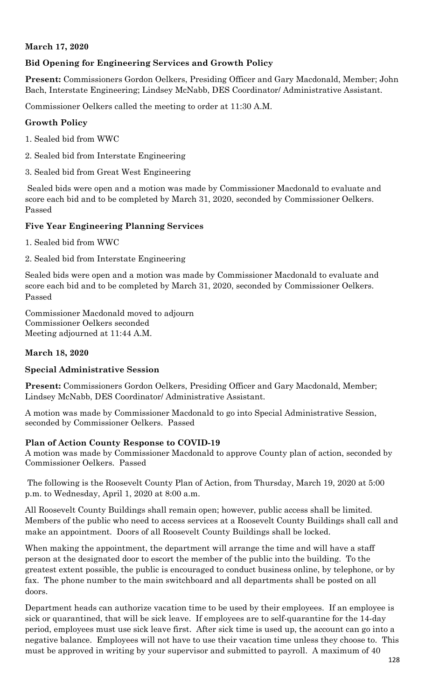# **March 17, 2020**

# **Bid Opening for Engineering Services and Growth Policy**

**Present:** Commissioners Gordon Oelkers, Presiding Officer and Gary Macdonald, Member; John Bach, Interstate Engineering; Lindsey McNabb, DES Coordinator/ Administrative Assistant.

Commissioner Oelkers called the meeting to order at 11:30 A.M.

## **Growth Policy**

- 1. Sealed bid from WWC
- 2. Sealed bid from Interstate Engineering
- 3. Sealed bid from Great West Engineering

Sealed bids were open and a motion was made by Commissioner Macdonald to evaluate and score each bid and to be completed by March 31, 2020, seconded by Commissioner Oelkers. Passed

## **Five Year Engineering Planning Services**

1. Sealed bid from WWC

2. Sealed bid from Interstate Engineering

Sealed bids were open and a motion was made by Commissioner Macdonald to evaluate and score each bid and to be completed by March 31, 2020, seconded by Commissioner Oelkers. Passed

Commissioner Macdonald moved to adjourn Commissioner Oelkers seconded Meeting adjourned at 11:44 A.M.

## **March 18, 2020**

## **Special Administrative Session**

**Present:** Commissioners Gordon Oelkers, Presiding Officer and Gary Macdonald, Member; Lindsey McNabb, DES Coordinator/ Administrative Assistant.

A motion was made by Commissioner Macdonald to go into Special Administrative Session, seconded by Commissioner Oelkers. Passed

## **Plan of Action County Response to COVID-19**

A motion was made by Commissioner Macdonald to approve County plan of action, seconded by Commissioner Oelkers. Passed

The following is the Roosevelt County Plan of Action, from Thursday, March 19, 2020 at 5:00 p.m. to Wednesday, April 1, 2020 at 8:00 a.m.

All Roosevelt County Buildings shall remain open; however, public access shall be limited. Members of the public who need to access services at a Roosevelt County Buildings shall call and make an appointment. Doors of all Roosevelt County Buildings shall be locked.

When making the appointment, the department will arrange the time and will have a staff person at the designated door to escort the member of the public into the building. To the greatest extent possible, the public is encouraged to conduct business online, by telephone, or by fax. The phone number to the main switchboard and all departments shall be posted on all doors.

Department heads can authorize vacation time to be used by their employees. If an employee is sick or quarantined, that will be sick leave. If employees are to self-quarantine for the 14-day period, employees must use sick leave first. After sick time is used up, the account can go into a negative balance. Employees will not have to use their vacation time unless they choose to. This must be approved in writing by your supervisor and submitted to payroll. A maximum of 40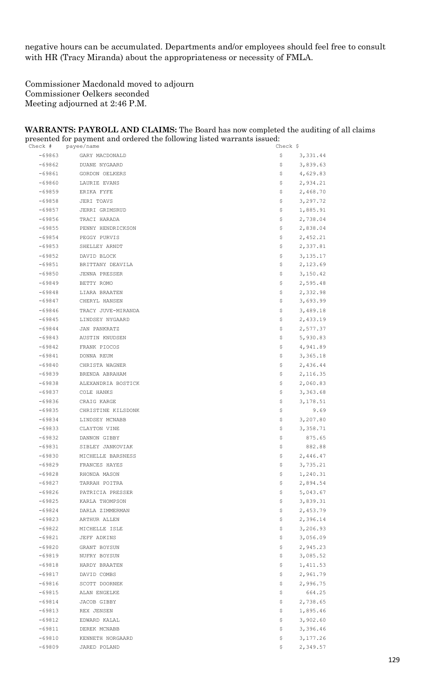negative hours can be accumulated. Departments and/or employees should feel free to consult with HR (Tracy Miranda) about the appropriateness or necessity of FMLA.

Commissioner Macdonald moved to adjourn Commissioner Oelkers seconded Meeting adjourned at 2:46 P.M.

#### **WARRANTS: PAYROLL AND CLAIMS:** The Board has now completed the auditing of all claims presented for payment and ordered the following listed warrants issued:

| Check #  | payee/name         | Check \$        |
|----------|--------------------|-----------------|
| -69863   | GARY MACDONALD     | \$<br>3,331.44  |
| $-69862$ | DUANE NYGAARD      | \$<br>3,839.63  |
| -69861   | GORDON OELKERS     | \$<br>4,629.83  |
| $-69860$ | LAURIE EVANS       | \$<br>2,934.21  |
| $-69859$ | ERIKA FYFE         | \$<br>2,468.70  |
| $-69858$ | JERI TOAVS         | \$<br>3,297.72  |
| -69857   | JERRI GRIMSRUD     | \$<br>1,885.91  |
| $-69856$ | TRACI HARADA       | \$<br>2,738.04  |
| $-69855$ | PENNY HENDRICKSON  | \$<br>2,838.04  |
| $-69854$ | PEGGY PURVIS       | \$<br>2,452.21  |
| $-69853$ | SHELLEY ARNDT      | \$<br>2,337.81  |
| $-69852$ | DAVID BLOCK        | \$<br>3,135.17  |
| $-69851$ | BRITTANY DEAVILA   | \$<br>2,123.69  |
| $-69850$ | JENNA PRESSER      | \$<br>3,150.42  |
| $-69849$ | BETTY ROMO         | \$<br>2,595.48  |
| $-69848$ | LIARA BRAATEN      | \$<br>2,332.98  |
| $-69847$ | CHERYL HANSEN      | \$<br>3,693.99  |
| -69846   | TRACY JUVE-MIRANDA | \$<br>3,489.18  |
| $-69845$ | LINDSEY NYGAARD    | \$<br>2,433.19  |
| $-69844$ | JAN PANKRATZ       | 2,577.37<br>Ş.  |
| $-69843$ | AUSTIN KNUDSEN     | \$<br>5,930.83  |
| $-69842$ | FRANK PIOCOS       | \$<br>4,941.89  |
| -69841   | DONNA REUM         | \$<br>3,365.18  |
| $-69840$ | CHRISTA WAGNER     | \$<br>2,436.44  |
| $-69839$ | BRENDA ABRAHAM     | Ş.<br>2,116.35  |
| $-69838$ | ALEXANDRIA BOSTICK | \$<br>2,060.83  |
| $-69837$ | COLE HANKS         | \$<br>3,363.68  |
| $-69836$ | CRAIG KARGE        | \$<br>3,178.51  |
| -69835   | CHRISTINE KILSDONK | \$<br>9.69      |
| $-69834$ | LINDSEY MCNABB     | 3,207.80<br>Ş.  |
| $-69833$ | CLAYTON VINE       | Ş.<br>3,358.71  |
| $-69832$ | DANNON GIBBY       | \$<br>875.65    |
| $-69831$ | SIBLEY JANKOVIAK   | \$<br>882.88    |
| $-69830$ | MICHELLE BARSNESS  | 2,446.47<br>\$  |
| -69829   | FRANCES HAYES      | Ş.<br>3,735.21  |
| $-69828$ | RHONDA MASON       | 1,240.31<br>Ş.  |
| $-69827$ | TARRAH POITRA      | \$<br>2,894.54  |
| $-69826$ | PATRICIA PRESSER   | \$<br>5,043.67  |
| -69825   | KARLA THOMPSON     | \$<br>3,839.31  |
| $-69824$ | DARLA ZIMMERMAN    | \$<br>2,453.79  |
| $-69823$ | ARTHUR ALLEN       | 2,396.14<br>\$. |
| $-69822$ | MICHELLE ISLE      | \$<br>3,206.93  |
| $-69821$ | JEFF ADKINS        | \$<br>3,056.09  |
| $-69820$ | GRANT BOYSUN       | \$<br>2,945.23  |
| $-69819$ | NUFRY BOYSUN       | \$<br>3,085.52  |
| $-69818$ | HARDY BRAATEN      | 1,411.53<br>\$. |
| $-69817$ | DAVID COMBS        | 2,961.79<br>Ş.  |
| $-69816$ | SCOTT DOORNEK      | \$<br>2,996.75  |
| $-69815$ | ALAN ENGELKE       | \$<br>664.25    |
| $-69814$ | JACOB GIBBY        | \$<br>2,738.65  |
| -69813   | REX JENSEN         | 1,895.46<br>\$. |
| $-69812$ | EDWARD KALAL       | 3,902.60<br>Ş.  |
| $-69811$ | DEREK MCNABB       | \$<br>3,396.46  |
| $-69810$ | KENNETH NORGAARD   | \$<br>3,177.26  |
| $-69809$ | JARED POLAND       | \$<br>2,349.57  |
|          |                    |                 |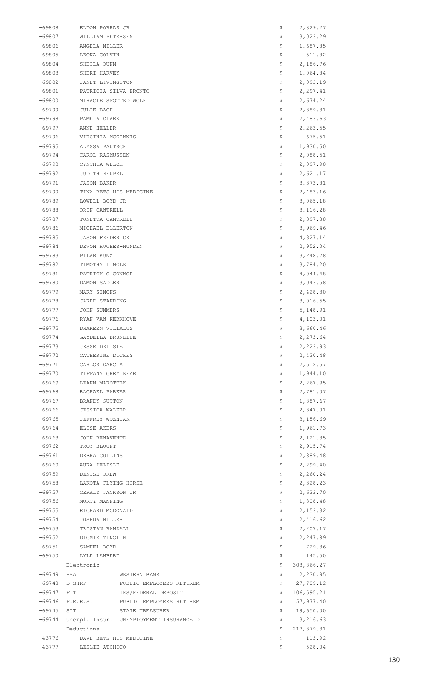| -69808               | ELDON PORRAS JR                          |                                         | Ş                 | 2,829.27             |
|----------------------|------------------------------------------|-----------------------------------------|-------------------|----------------------|
| $-69807$             | WILLIAM PETERSEN                         |                                         | Ş                 | 3,023.29             |
| $-69806$             | ANGELA MILLER                            |                                         | \$                | 1,687.85             |
| $-69805$             | LEONA COLVIN                             |                                         | \$                | 511.82               |
| $-69804$             | SHEILA DUNN                              |                                         | \$                | 2,186.76             |
| -69803               | SHERI HARVEY                             |                                         | \$                | 1,064.84             |
| -69802               | JANET LIVINGSTON                         |                                         | \$                | 2,093.19             |
| $-69801$             | PATRICIA SILVA PRONTO                    |                                         | \$                | 2,297.41             |
| $-69800$             | MIRACLE SPOTTED WOLF                     |                                         | Ş                 | 2,674.24             |
| $-69799$             | JULIE BACH                               |                                         | \$                | 2,389.31             |
| -69798               | PAMELA CLARK                             |                                         | \$                | 2,483.63             |
| -69797               | ANNE HELLER                              |                                         | \$                | 2,263.55             |
| $-69796$             | VIRGINIA MCGINNIS                        |                                         | \$                | 675.51               |
| $-69795$             | ALYSSA PAUTSCH                           |                                         | Ş                 | 1,930.50             |
| -69794               | CAROL RASMUSSEN                          |                                         | Ş                 | 2,088.51             |
| -69793               | CYNTHIA WELCH                            |                                         | \$                | 2,097.90             |
| -69792               | JUDITH HEUPEL                            |                                         | \$                | 2,621.17             |
| $-69791$             | <b>JASON BAKER</b>                       |                                         | \$                | 3,373.81             |
| $-69790$             | TINA BETS HIS MEDICINE                   |                                         | Ş                 | 2,483.16             |
| $-69789$             | LOWELL BOYD JR                           |                                         | Ş                 | 3,065.18             |
| -69788               | ORIN CANTRELL                            |                                         | \$                | 3, 116.28            |
| $-69787$             | TONETTA CANTRELL                         |                                         | \$                | 2,397.88             |
| -69786               | MICHAEL ELLERTON                         |                                         | \$                | 3,969.46             |
| -69785               | <b>JASON FREDERICK</b>                   |                                         | \$                | 4,327.14             |
| $-69784$             | DEVON HUGHES-MUNDEN                      |                                         | Ş                 | 2,952.04             |
| $-69783$             | PILAR KUNZ                               |                                         | \$                | 3,248.78             |
| -69782               | TIMOTHY LINGLE                           |                                         | \$                | 3,784.20             |
| $-69781$             | PATRICK O'CONNOR                         |                                         | \$                | 4,044.48             |
| $-69780$             | DAMON SADLER                             |                                         | \$                | 3,043.58             |
| $-69779$             | MARY SIMONS                              |                                         | \$                | 2,428.30             |
| -69778               | JARED STANDING                           |                                         | Ş                 | 3,016.55             |
| -69777               | JOHN SUMMERS                             |                                         | \$                | 5, 148.91            |
| -69776               | RYAN VAN KERKHOVE                        |                                         | \$                | 4,103.01             |
| $-69775$<br>$-69774$ | DHAREEN VILLALUZ                         |                                         | \$                | 3,660.46             |
| $-69773$             | GAYDELLA BRUNELLE                        |                                         | Ş                 | 2,273.64             |
| $-69772$             | <b>JESSE DELISLE</b><br>CATHERINE DICKEY |                                         | \$<br>\$          | 2,223.93<br>2,430.48 |
| $-69771$             | CARLOS GARCIA                            |                                         | \$                | 2,512.57             |
| $-69770$             | TIFFANY GREY BEAR                        |                                         | \$                | 1,944.10             |
| $-69769$             | LEANN MAROTTEK                           |                                         | \$                | 2,267.95             |
| $-69768$             | RACHAEL PARKER                           |                                         | \$                | 2,781.07             |
| $-69767$             | BRANDY SUTTON                            |                                         | \$                | 1,887.67             |
| -69766               | JESSICA WALKER                           |                                         | \$                | 2,347.01             |
| $-69765$             | JEFFREY WOZNIAK                          |                                         | \$                | 3,156.69             |
| $-69764$             | ELISE AKERS                              |                                         | \$                | 1,961.73             |
| $-69763$             | JOHN BENAVENTE                           |                                         | \$                | 2,121.35             |
| $-69762$             | TROY BLOUNT                              |                                         | \$                | 2,915.74             |
| $-69761$             | DEBRA COLLINS                            |                                         | \$                | 2,889.48             |
| $-69760$             | AURA DELISLE                             |                                         | \$                | 2,299.40             |
| $-69759$             | DENISE DREW                              |                                         | \$                | 2,260.24             |
| $-69758$             | LAKOTA FLYING HORSE                      |                                         | \$                | 2,328.23             |
| $-69757$             | GERALD JACKSON JR                        |                                         | \$                | 2,623.70             |
| $-69756$             | MORTY MANNING                            |                                         | \$                | 1,808.48             |
| $-69755$             | RICHARD MCDONALD                         |                                         | \$                | 2,153.32             |
| $-69754$             | JOSHUA MILLER                            |                                         | \$                | 2,416.62             |
| $-69753$             | TRISTAN RANDALL                          |                                         | \$                | 2,207.17             |
| $-69752$             | DIGMIE TINGLIN                           |                                         | \$                | 2,247.89             |
| $-69751$             | SAMUEL BOYD                              |                                         | \$                | 729.36               |
| -69750               | LYLE LAMBERT                             |                                         | \$                | 145.50               |
|                      | Electronic                               |                                         | \$                | 303,866.27           |
| $-69749$             | HSA                                      | WESTERN BANK                            | \$                | 2,230.95             |
| $-69748$             |                                          | D-SHRF PUBLIC EMPLOYEES RETIREM         | \$                | 27,709.12            |
| $-69747$             | FIT.                                     | IRS/FEDERAL DEPOSIT                     | \$                | 106,595.21           |
| -69746               | P.E.R.S.                                 | PUBLIC EMPLOYEES RETIREM                | \$                | 57,977.40            |
| $-69745$             | SIT                                      | STATE TREASURER                         | \$                | 19,650.00            |
| -69744               |                                          | Unempl. Insur. UNEMPLOYMENT INSURANCE D | \$                | 3,216.63             |
|                      | Deductions                               |                                         | \$                | 217,379.31           |
| 43776                | DAVE BETS HIS MEDICINE                   |                                         | \$                | 113.92               |
| 43777                | LESLIE ATCHICO                           |                                         | $\hat{\varsigma}$ | 528.04               |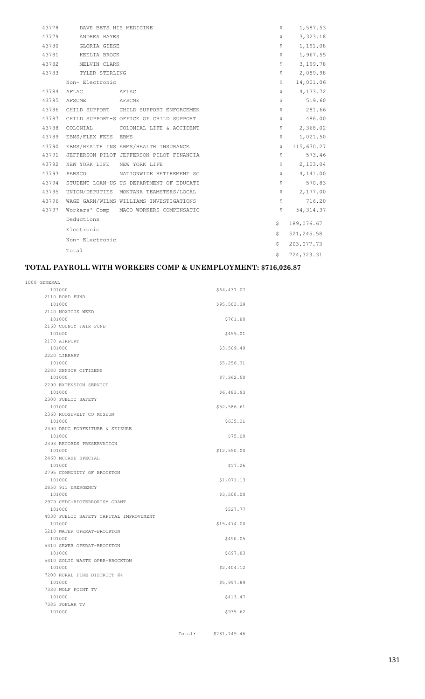| 43778 | DAVE BETS HIS MEDICINE      |                                          | \$<br>1,587.53    |
|-------|-----------------------------|------------------------------------------|-------------------|
| 43779 | ANDREA HAYES                |                                          | \$<br>3,323.18    |
| 43780 | GLORIA GIESE                |                                          | \$<br>1,191.08    |
| 43781 | KEELIA BROCK                |                                          | \$<br>1,967.55    |
| 43782 | MELVIN CLARK                |                                          | \$<br>3,199.78    |
| 43783 | TYLER STERLING              |                                          | \$<br>2,089.98    |
|       | Non- Electronic             |                                          | \$<br>14,001.06   |
| 43784 | AFLAC                       | AFLAC                                    | \$<br>4,133.72    |
| 43785 | AFSCME                      | AFSCME                                   | \$<br>519.60      |
| 43786 |                             | CHILD SUPPORT CHILD SUPPORT ENFORCEMEN   | \$<br>281.66      |
| 43787 |                             | CHILD SUPPORT-S OFFICE OF CHILD SUPPORT  | \$<br>486.00      |
| 43788 | COLONIAL                    | COLONIAL LIFE & ACCIDENT                 | \$<br>2,368.02    |
| 43789 | EBMS/FLEX FEES EBMS         |                                          | \$<br>1,021.50    |
| 43790 |                             | EBMS/HEALTH INS EBMS/HEALTH INSURANCE    | \$<br>115,670.27  |
| 43791 |                             | JEFFERSON PILOT JEFFERSON PILOT FINANCIA | \$<br>573.46      |
| 43792 | NEW YORK LIFE NEW YORK LIFE |                                          | \$<br>2,103.04    |
| 43793 | PEBSCO                      | NATIONWIDE RETIREMENT SO                 | \$<br>4,141.00    |
| 43794 |                             | STUDENT LOAN-US US DEPARTMENT OF EDUCATI | \$<br>570.83      |
| 43795 |                             | UNION/DEPUTIES MONTANA TEAMSTERS/LOCAL   | \$<br>2,177.00    |
| 43796 |                             | WAGE GARN/WILMS WILLIAMS INVESTIGATIONS  | \$<br>716.20      |
| 43797 |                             | Workers' Comp MACO WORKERS COMPENSATIO   | \$<br>54, 314.37  |
|       | Deductions                  |                                          | \$<br>189,076.67  |
|       | Electronic                  |                                          | \$<br>521,245.58  |
|       | Non- Electronic             |                                          | \$<br>203,077.73  |
|       | Total                       |                                          |                   |
|       |                             |                                          | \$<br>724, 323.31 |

#### **TOTAL PAYROLL WITH WORKERS COMP & UNEMPLOYMENT: \$716,026.87**

| 1000 GENERAL                           |             |
|----------------------------------------|-------------|
| 101000                                 | \$64,437.07 |
| 2110 ROAD FUND                         |             |
| 101000                                 | \$95,503.39 |
| 2140 NOXIOUS WEED                      |             |
| 101000                                 | \$761.80    |
| 2160 COUNTY FAIR FUND                  |             |
| 101000                                 | \$459.01    |
| 2170 AIRPORT                           |             |
| 101000                                 | \$3,509.49  |
| 2220 LIBRARY                           |             |
| 101000                                 | \$5,256.31  |
| 2280 SENIOR CITIZENS                   |             |
| 101000                                 | \$7,362.50  |
| 2290 EXTENSION SERVICE                 |             |
| 101000                                 | \$6,483.93  |
| 2300 PUBLIC SAFETY                     |             |
| 101000                                 | \$52,586.61 |
| 2360 ROOSEVELT CO MUSEUM               |             |
| 101000                                 | \$635.21    |
| 2390 DRUG FORFEITURE & SEIZURE         |             |
| 101000                                 | \$75.00     |
| 2393 RECORDS PRESERVATION              |             |
| 101000                                 | \$12,550.00 |
| 2460 MCCABE SPECIAL                    |             |
| 101000                                 | \$17.26     |
| 2795 COMMUNITY OF BROCKTON             |             |
| 101000                                 | \$1,071.13  |
| 2850 911 EMERGENCY                     |             |
| 101000                                 | \$3,500.00  |
| 2979 CFDC-BIOTERRORISM GRANT           |             |
| 101000                                 | \$527.77    |
| 4030 PUBLIC SAFETY CAPITAL IMPROVEMENT |             |
| 101000                                 | \$15,474.00 |
| 5210 WATER OPERAT-BROCKTON             |             |
| 101000                                 | \$490.05    |
| 5310 SEWER OPERAT-BROCKTON             |             |
| 101000                                 | \$697.83    |
| 5410 SOLID WASTE OPER-BROCKTON         |             |
| 101000                                 | \$2,404.12  |
| 7200 RURAL FIRE DISTRICT 64            |             |
| 101000                                 | \$5,997.89  |
| 7380 WOLF POINT TV                     |             |
| 101000                                 | \$413.47    |
| 7385 POPLAR TV                         |             |
| 101000                                 | \$935.62    |
|                                        |             |

Total: \$281,149.46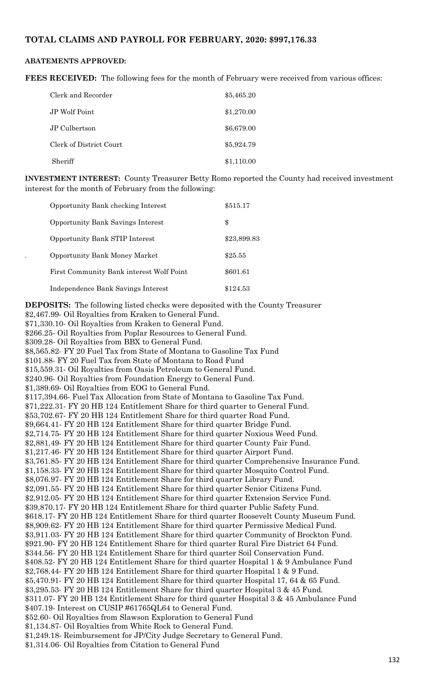#### **TOTAL CLAIMS AND PAYROLL FOR FEBRUARY, 2020: \$997,176.33**

#### **ABATEMENTS APPROVED:**

**FEES RECEIVED:** The following fees for the month of February were received from various offices:

| Clerk and Recorder      | \$5,465.20 |
|-------------------------|------------|
| JP Wolf Point           | \$1,270.00 |
| JP Culbertson           | \$6,679.00 |
| Clerk of District Court | \$5,924.79 |
| Sheriff                 | \$1,110.00 |

**INVESTMENT INTEREST:** County Treasurer Betty Romo reported the County had received investment interest for the month of February from the following:

| <b>Opportunity Bank checking Interest</b> | \$515.17    |
|-------------------------------------------|-------------|
| <b>Opportunity Bank Savings Interest</b>  | \$          |
| <b>Opportunity Bank STIP Interest</b>     | \$23,899.83 |
| <b>Opportunity Bank Money Market</b>      | \$25.55     |
| First Community Bank interest Wolf Point  | \$601.61    |
| Independence Bank Savings Interest        | \$124.53    |

**DEPOSITS:** The following listed checks were deposited with the County Treasurer \$2,467.99- Oil Royalties from Kraken to General Fund. \$71,330.10- Oil Royalties from Kraken to General Fund. \$266.25- Oil Royalties from Poplar Resources to General Fund. \$309.28- Oil Royalties from BBX to General Fund. \$8,565.82- FY 20 Fuel Tax from State of Montana to Gasoline Tax Fund \$101.88- FY 20 Fuel Tax from State of Montana to Road Fund \$15,559.31- Oil Royalties from Oasis Petroleum to General Fund. \$240.96- Oil Royalties from Foundation Energy to General Fund. \$1,389.69- Oil Royalties from EOG to General Fund. \$117,394.66- Fuel Tax Allocation from State of Montana to Gasoline Tax Fund. \$71,222.31- FY 20 HB 124 Entitlement Share for third quarter to General Fund. \$53,702.67- FY 20 HB 124 Entitlement Share for third quarter Road Fund. \$9,664.41- FY 20 HB 124 Entitlement Share for third quarter Bridge Fund. \$2,714.75- FY 20 HB 124 Entitlement Share for third quarter Noxious Weed Fund. \$2,881.49- FY 20 HB 124 Entitlement Share for third quarter County Fair Fund. \$1,217.46- FY 20 HB 124 Entitlement Share for third quarter Airport Fund. \$3,761.85- FY 20 HB 124 Entitlement Share for third quarter Comprehensive Insurance Fund. \$1,158.33- FY 20 HB 124 Entitlement Share for third quarter Mosquito Control Fund. \$8,076.97- FY 20 HB 124 Entitlement Share for third quarter Library Fund. \$2,091.55- FY 20 HB 124 Entitlement Share for third quarter Senior Citizens Fund. \$2,912.05- FY 20 HB 124 Entitlement Share for third quarter Extension Service Fund. \$39,870.17- FY 20 HB 124 Entitlement Share for third quarter Public Safety Fund. \$618.17- FY 20 HB 124 Entitlement Share for third quarter Roosevelt County Museum Fund. \$8,909.62- FY 20 HB 124 Entitlement Share for third quarter Permissive Medical Fund. \$3,911.03- FY 20 HB 124 Entitlement Share for third quarter Community of Brockton Fund. \$921.90- FY 20 HB 124 Entitlement Share for third quarter Rural Fire District 64 Fund. \$344.56- FY 20 HB 124 Entitlement Share for third quarter Soil Conservation Fund. \$408.52- FY 20 HB 124 Entitlement Share for third quarter Hospital 1 & 9 Ambulance Fund \$2,768.44- FY 20 HB 124 Entitlement Share for third quarter Hospital 1 & 9 Fund. \$5,470.91- FY 20 HB 124 Entitlement Share for third quarter Hospital 17, 64 & 65 Fund. \$3,295.53- FY 20 HB 124 Entitlement Share for third quarter Hospital 3 & 45 Fund. \$311.07- FY 20 HB 124 Entitlement Share for third quarter Hospital 3 & 45 Ambulance Fund \$407.19- Interest on CUSIP #61765QL64 to General Fund. \$52.60- Oil Royalties from Slawson Exploration to General Fund \$1,134.87- Oil Royalties from White Rock to General Fund. \$1,249.18- Reimbursement for JP/City Judge Secretary to General Fund.

\$1,314.06- Oil Royalties from Citation to General Fund